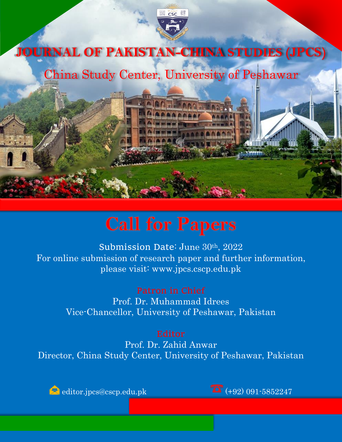

## **Call for Papers**

Submission Date: June 30th, 2022 For online submission of research paper and further information, please visit: www.jpcs.cscp.edu.pk

> Prof. Dr. Muhammad Idrees Vice-Chancellor, University of Peshawar, Pakistan

Prof. Dr. Zahid Anwar Director, China Study Center, University of Peshawar, Pakistan

editor.jpcs@cscp.edu.pk  $\overline{15}$  (+92) 091-5852247